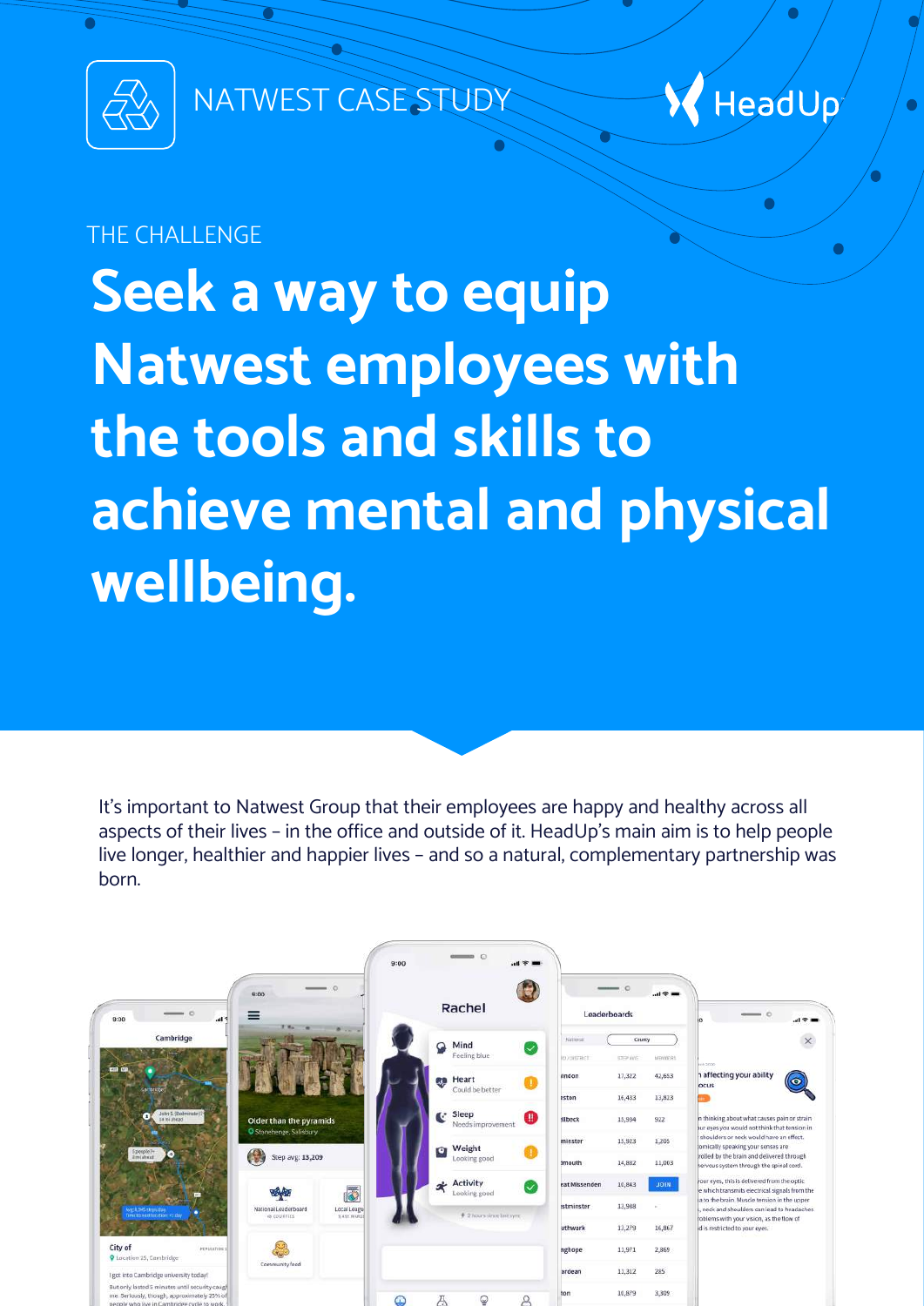

NATWEST CASE STUDY



Ò

### THE CHALL ENGE

**Seek a way to equip Natwest employees with the tools and skills to achieve mental and physical wellbeing.** 

It's important to Natwest Group that their employees are happy and healthy across all aspects of their lives – in the office and outside of it. HeadUp's main aim is to help people live longer, healthier and happier lives – and so a natural, complementary partnership was born.

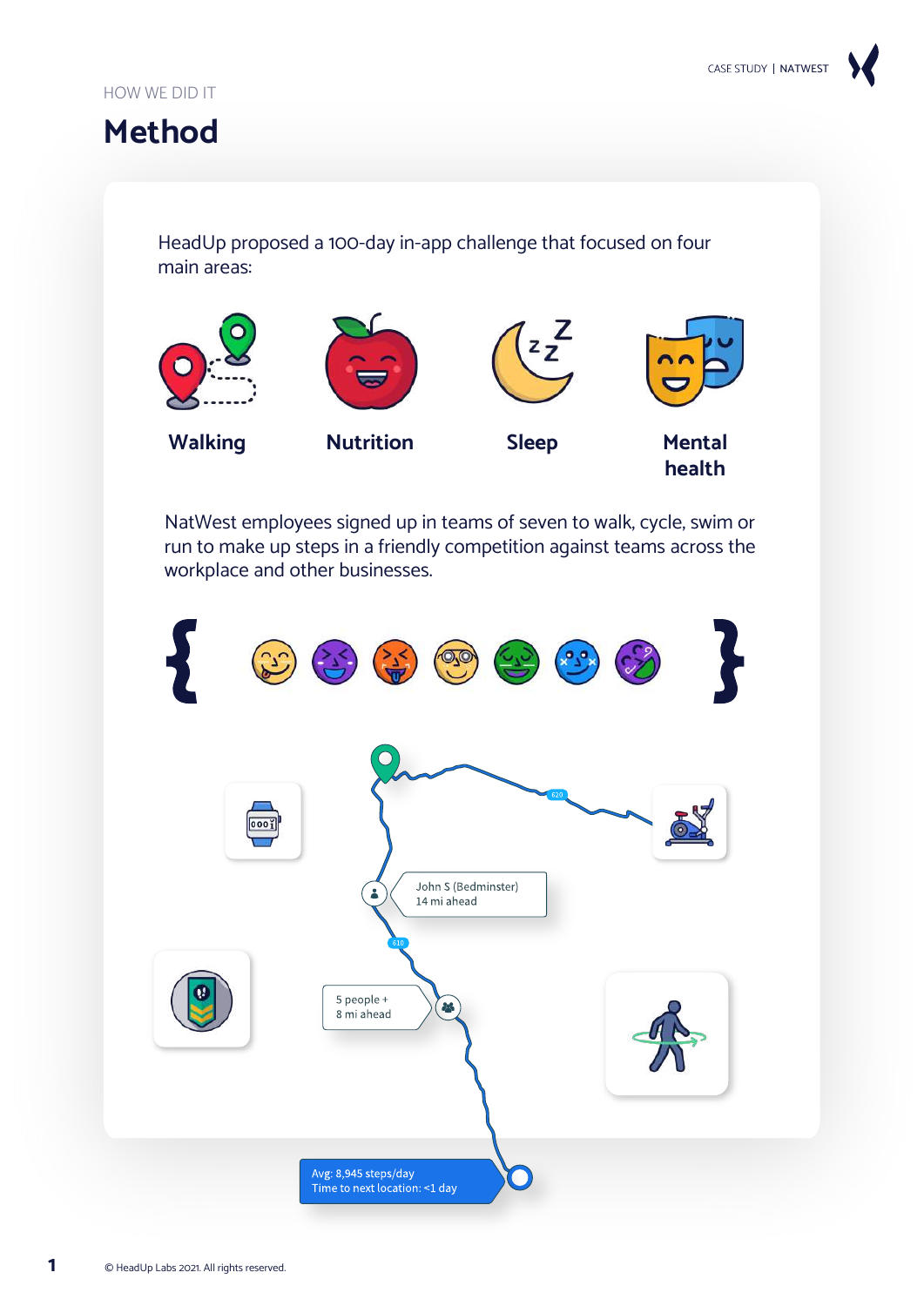## **Method**

HeadUp proposed a 100-day in-app challenge that focused on four main areas:



NatWest employees signed up in teams of seven to walk, cycle, swim or run to make up steps in a friendly competition against teams across the workplace and other businesses.

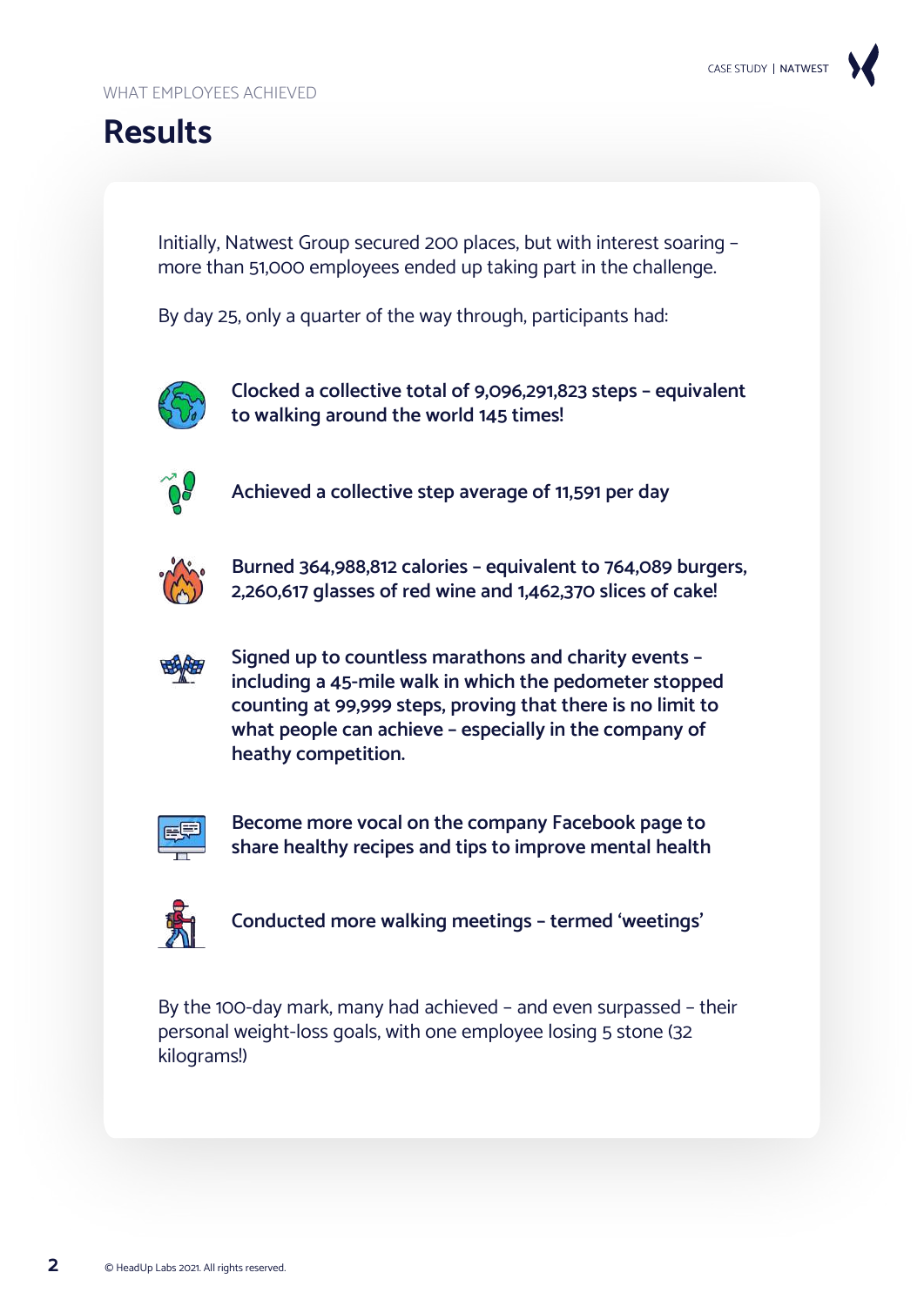# **Results**

Initially, Natwest Group secured 200 places, but with interest soaring – more than 51,000 employees ended up taking part in the challenge.

By day 25, only a quarter of the way through, participants had:



**Clocked a collective total of 9,096,291,823 steps – equivalent to walking around the world 145 times!**



**Achieved a collective step average of 11,591 per day**



**Burned 364,988,812 calories – equivalent to 764,089 burgers, 2,260,617 glasses of red wine and 1,462,370 slices of cake!**



**Signed up to countless marathons and charity events – including a 45-mile walk in which the pedometer stopped counting at 99,999 steps, proving that there is no limit to what people can achieve – especially in the company of heathy competition.** 



**Become more vocal on the company Facebook page to share healthy recipes and tips to improve mental health**



**Conducted more walking meetings – termed 'weetings'**

By the 100-day mark, many had achieved – and even surpassed – their personal weight-loss goals, with one employee losing 5 stone (32 kilograms!)